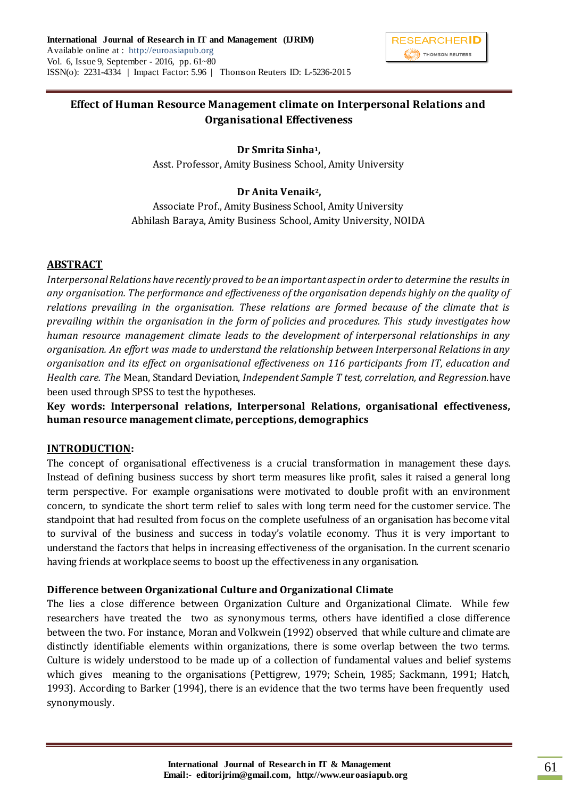

# **Effect of Human Resource Management climate on Interpersonal Relations and Organisational Effectiveness**

## **Dr Smrita Sinha1,**

Asst. Professor, Amity Business School, Amity University

## **Dr Anita Venaik2,**

Associate Prof., Amity Business School, Amity University Abhilash Baraya, Amity Business School, Amity University, NOIDA

## **ABSTRACT**

*Interpersonal Relations have recently proved to be an important aspect in order to determine the results in any organisation. The performance and effectiveness of the organisation depends highly on the quality of relations prevailing in the organisation. These relations are formed because of the climate that is prevailing within the organisation in the form of policies and procedures. This study investigates how human resource management climate leads to the development of interpersonal relationships in any organisation. An effort was made to understand the relationship between Interpersonal Relations in any organisation and its effect on organisational effectiveness on 116 participants from IT, education and Health care. The* Mean, Standard Deviation, *Independent Sample T test, correlation, and Regression.*have been used through SPSS to test the hypotheses.

**Key words: Interpersonal relations, Interpersonal Relations, organisational effectiveness, human resource management climate, perceptions, demographics**

## **INTRODUCTION:**

The concept of organisational effectiveness is a crucial transformation in management these days. Instead of defining business success by short term measures like profit, sales it raised a general long term perspective. For example organisations were motivated to double profit with an environment concern, to syndicate the short term relief to sales with long term need for the customer service. The standpoint that had resulted from focus on the complete usefulness of an organisation has become vital to survival of the business and success in today's volatile economy. Thus it is very important to understand the factors that helps in increasing effectiveness of the organisation. In the current scenario having friends at workplace seems to boost up the effectiveness in any organisation.

## **Difference between Organizational Culture and Organizational Climate**

The lies a close difference between Organization Culture and Organizational Climate. While few researchers have treated the two as synonymous terms, others have identified a close difference between the two. For instance, Moran and Volkwein (1992) observed that while culture and climate are distinctly identifiable elements within organizations, there is some overlap between the two terms. Culture is widely understood to be made up of a collection of fundamental values and belief systems which gives meaning to the organisations (Pettigrew, 1979; Schein, 1985; Sackmann, 1991; Hatch, 1993). According to Barker (1994), there is an evidence that the two terms have been frequently used synonymously.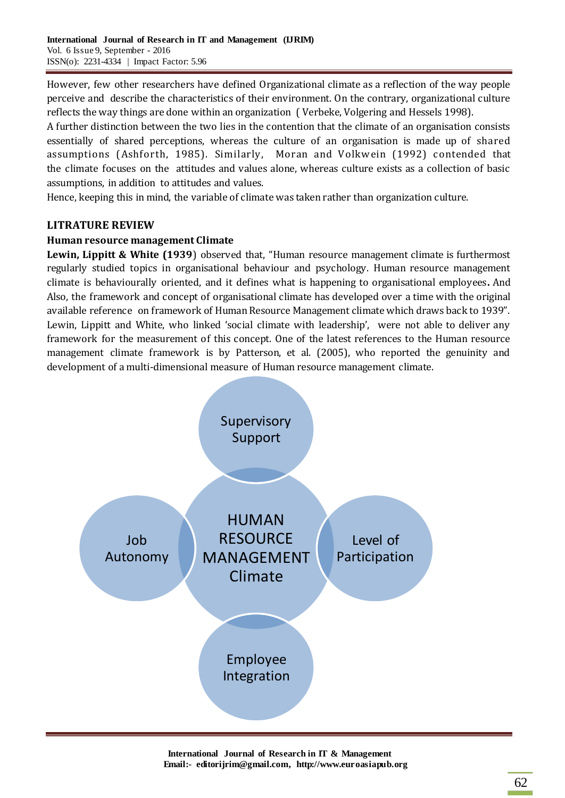However, few other researchers have defined Organizational climate as a reflection of the way people perceive and describe the characteristics of their environment. On the contrary, organizational culture reflects the way things are done within an organization ( Verbeke, Volgering and Hessels 1998).

A further distinction between the two lies in the contention that the climate of an organisation consists essentially of shared perceptions, whereas the culture of an organisation is made up of shared assumptions (Ashforth, 1985). Similarly, Moran and Volkwein (1992) contended that the climate focuses on the attitudes and values alone, whereas culture exists as a collection of basic assumptions, in addition to attitudes and values.

Hence, keeping this in mind, the variable of climate was taken rather than organization culture.

## **LITRATURE REVIEW**

## **Human resource management Climate**

**Lewin, Lippitt & White (1939**) observed that, "Human resource management climate is furthermost regularly studied topics in organisational behaviour and psychology. Human resource management climate is behaviourally oriented, and it defines what is happening to organisational employees**.** And Also, the framework and concept of organisational climate has developed over a time with the original available reference on framework of Human Resource Management climate which draws back to 1939". Lewin, Lippitt and White, who linked 'social climate with leadership', were not able to deliver any framework for the measurement of this concept. One of the latest references to the Human resource management climate framework is by Patterson, et al. (2005), who reported the genuinity and development of a multi-dimensional measure of Human resource management climate.



**International Journal of Research in IT & Management Email:- editorijrim@gmail.com, http://www.euroasiapub.org**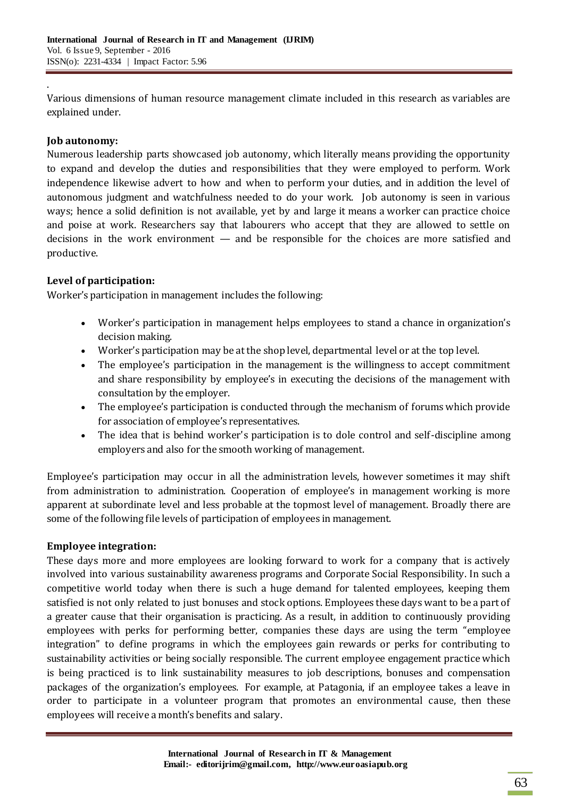Various dimensions of human resource management climate included in this research as variables are explained under.

## **Job autonomy:**

.

Numerous leadership parts showcased job autonomy, which literally means providing the opportunity to expand and develop the duties and responsibilities that they were employed to perform. Work independence likewise advert to how and when to perform your duties, and in addition the level of autonomous judgment and watchfulness needed to do your work. Job autonomy is seen in various ways; hence a solid definition is not available, yet by and large it means a worker can practice choice and poise at work. Researchers say that labourers who accept that they are allowed to settle on decisions in the work environment — and be responsible for the choices are more satisfied and productive.

## **Level of participation:**

Worker's participation in management includes the following:

- Worker's participation in management helps employees to stand a chance in organization's decision making.
- Worker's participation may be at the shop level, departmental level or at the top level.
- The employee's participation in the management is the willingness to accept commitment and share responsibility by employee's in executing the decisions of the management with consultation by the employer.
- The employee's participation is conducted through the mechanism of forums which provide for association of employee's representatives.
- The idea that is behind worker's participation is to dole control and self-discipline among employers and also for the smooth working of management.

Employee's participation may occur in all the administration levels, however sometimes it may shift from administration to administration. Cooperation of employee's in management working is more apparent at subordinate level and less probable at the topmost level of management. Broadly there are some of the following file levels of participation of employees in management.

## **Employee integration:**

These days more and more employees are looking forward to work for a company that is actively involved into various sustainability awareness programs and Corporate Social Responsibility. In such a competitive world today when there is such a huge demand for talented employees, keeping them satisfied is not only related to just bonuses and stock options. Employees these days want to be a part of a greater cause that their organisation is practicing. As a result, in addition to continuously providing employees with perks for performing better, companies these days are using the term "employee integration" to define programs in which the employees gain rewards or perks for contributing to sustainability activities or being socially responsible. The current employee engagement practice which is being practiced is to link sustainability measures to job descriptions, bonuses and compensation packages of the organization's employees. For example, at Patagonia, if an employee takes a leave in order to participate in a volunteer program that promotes an environmental cause, then these employees will receive a month's benefits and salary.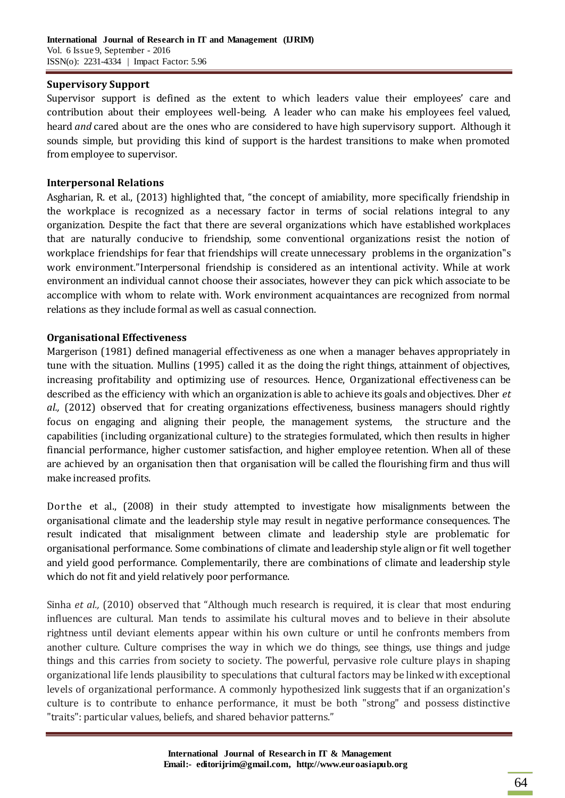#### **Supervisory Support**

Supervisor support is defined as the extent to which leaders value their employees' care and contribution about their employees well-being. A leader who can make his employees feel valued, heard *and* cared about are the ones who are considered to have high supervisory support. Although it sounds simple, but providing this kind of support is the hardest transitions to make when promoted from employee to supervisor.

#### **Interpersonal Relations**

Asgharian, R. et al., (2013) highlighted that, "the concept of amiability, more specifically friendship in the workplace is recognized as a necessary factor in terms of social relations integral to any organization. Despite the fact that there are several organizations which have established workplaces that are naturally conducive to friendship, some conventional organizations resist the notion of workplace friendships for fear that friendships will create unnecessary problems in the organization"s work environment."Interpersonal friendship is considered as an intentional activity. While at work environment an individual cannot choose their associates, however they can pick which associate to be accomplice with whom to relate with. Work environment acquaintances are recognized from normal relations as they include formal as well as casual connection.

#### **Organisational Effectiveness**

Margerison (1981) defined managerial effectiveness as one when a manager behaves appropriately in tune with the situation. Mullins (1995) called it as the doing the right things, attainment of objectives, increasing profitability and optimizing use of resources. Hence, Organizational effectiveness can be described as the efficiency with which an organization is able to achieve its goals and objectives. Dher *et al.,* (2012) observed that for creating organizations effectiveness, business managers should rightly focus on engaging and aligning their people, the management systems, the structure and the capabilities (including organizational culture) to the strategies formulated, which then results in higher financial performance, higher customer satisfaction, and higher employee retention. When all of these are achieved by an organisation then that organisation will be called the flourishing firm and thus will make increased profits.

Dorthe et al., (2008) in their study attempted to investigate how misalignments between the organisational climate and the leadership style may result in negative performance consequences. The result indicated that misalignment between climate and leadership style are problematic for organisational performance. Some combinations of climate and leadership style align or fit well together and yield good performance. Complementarily, there are combinations of climate and leadership style which do not fit and yield relatively poor performance.

Sinha *et al.,* (2010) observed that "Although much research is required, it is clear that most enduring influences are cultural. Man tends to assimilate his cultural moves and to believe in their absolute rightness until deviant elements appear within his own culture or until he confronts members from another culture. Culture comprises the way in which we do things, see things, use things and judge things and this carries from society to society. The powerful, pervasive role culture plays in shaping organizational life lends plausibility to speculations that cultural factors may be linked with exceptional levels of organizational performance. A commonly hypothesized link suggests that if an organization's culture is to contribute to enhance performance, it must be both "strong" and possess distinctive "traits": particular values, beliefs, and shared behavior patterns."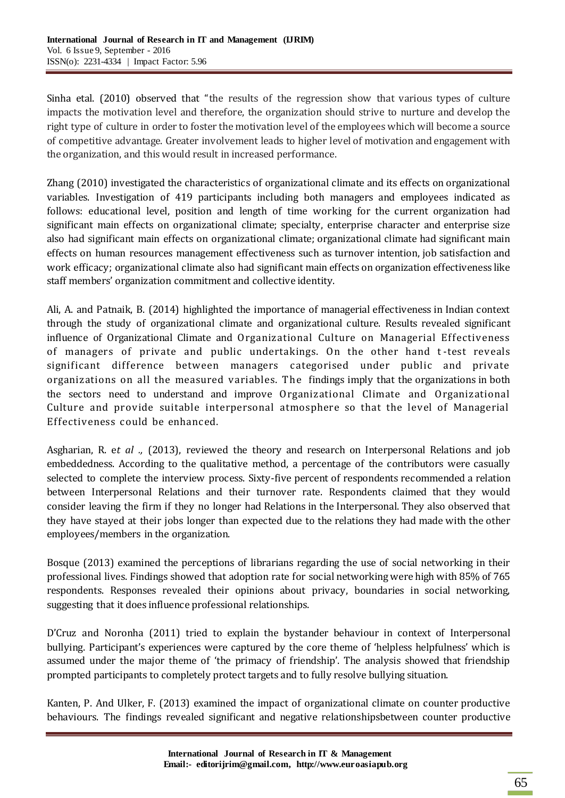Sinha etal. (2010) observed that "the results of the regression show that various types of culture impacts the motivation level and therefore, the organization should strive to nurture and develop the right type of culture in order to foster the motivation level of the employees which will become a source of competitive advantage. Greater involvement leads to higher level of motivation and engagement with the organization, and this would result in increased performance.

Zhang (2010) investigated the characteristics of organizational climate and its effects on organizational variables. Investigation of 419 participants including both managers and employees indicated as follows: educational level, position and length of time working for the current organization had significant main effects on organizational climate; specialty, enterprise character and enterprise size also had significant main effects on organizational climate; organizational climate had significant main effects on human resources management effectiveness such as turnover intention, job satisfaction and work efficacy; organizational climate also had significant main effects on organization effectiveness like staff members' organization commitment and collective identity.

Ali, A. and Patnaik, B. (2014) highlighted the importance of managerial effectiveness in Indian context through the study of organizational climate and organizational culture. Results revealed significant influence of Organizational Climate and Organizational Culture on Managerial Effectiveness of managers of private and public undertakings. On the other hand t -test reveals significant difference between managers categorised under public and private organizations on all the measured variables. The findings imply that the organizations in both the sectors need to understand and improve Organizational Climate and Organizational Culture and provide suitable interpersonal atmosphere so that the level of Managerial Effectiveness could be enhanced.

Asgharian, R. e*t al .,* (2013), reviewed the theory and research on Interpersonal Relations and job embeddedness. According to the qualitative method, a percentage of the contributors were casually selected to complete the interview process. Sixty-five percent of respondents recommended a relation between Interpersonal Relations and their turnover rate. Respondents claimed that they would consider leaving the firm if they no longer had Relations in the Interpersonal. They also observed that they have stayed at their jobs longer than expected due to the relations they had made with the other employees/members in the organization.

Bosque (2013) examined the perceptions of librarians regarding the use of social networking in their professional lives. Findings showed that adoption rate for social networking were high with 85% of 765 respondents. Responses revealed their opinions about privacy, boundaries in social networking, suggesting that it does influence professional relationships.

D'Cruz and Noronha (2011) tried to explain the bystander behaviour in context of Interpersonal bullying. Participant's experiences were captured by the core theme of 'helpless helpfulness' which is assumed under the major theme of 'the primacy of friendship'. The analysis showed that friendship prompted participants to completely protect targets and to fully resolve bullying situation.

Kanten, P. And Ulker, F. (2013) examined the impact of organizational climate on counter productive behaviours. The findings revealed significant and negative relationshipsbetween counter productive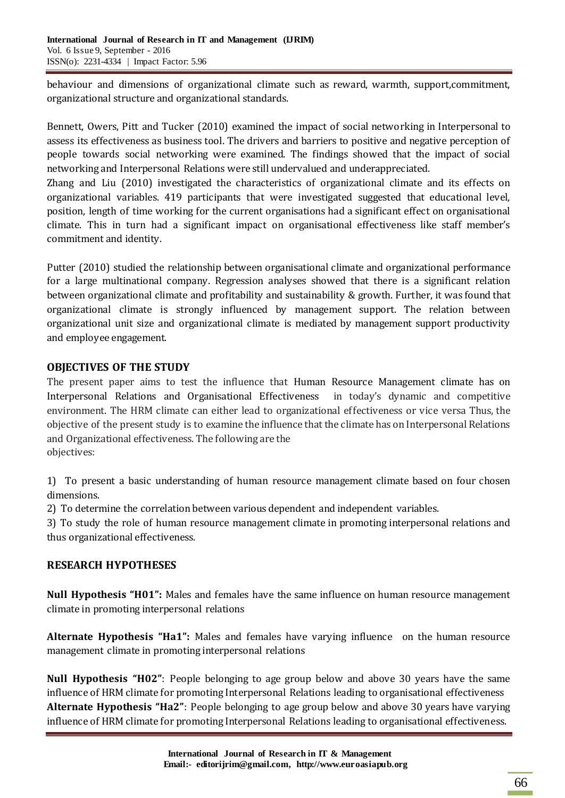behaviour and dimensions of organizational climate such as reward, warmth, support,commitment, organizational structure and organizational standards.

Bennett, Owers, Pitt and Tucker (2010) examined the impact of social networking in Interpersonal to assess its effectiveness as business tool. The drivers and barriers to positive and negative perception of people towards social networking were examined. The findings showed that the impact of social networking and Interpersonal Relations were still undervalued and underappreciated.

Zhang and Liu (2010) investigated the characteristics of organizational climate and its effects on organizational variables. 419 participants that were investigated suggested that educational level, position, length of time working for the current organisations had a significant effect on organisational climate. This in turn had a significant impact on organisational effectiveness like staff member's commitment and identity.

Putter (2010) studied the relationship between organisational climate and organizational performance for a large multinational company. Regression analyses showed that there is a significant relation between organizational climate and profitability and sustainability & growth. Further, it was found that organizational climate is strongly influenced by management support. The relation between organizational unit size and organizational climate is mediated by management support productivity and employee engagement.

# **OBJECTIVES OF THE STUDY**

The present paper aims to test the influence that Human Resource Management climate has on Interpersonal Relations and Organisational Effectiveness in today's dynamic and competitive environment. The HRM climate can either lead to organizational effectiveness or vice versa Thus, the objective of the present study is to examine the influence that the climate has on Interpersonal Relations and Organizational effectiveness. The following are the objectives:

1) To present a basic understanding of human resource management climate based on four chosen dimensions.

2) To determine the correlation between various dependent and independent variables.

3) To study the role of human resource management climate in promoting interpersonal relations and thus organizational effectiveness.

# **RESEARCH HYPOTHESES**

**Null Hypothesis "H01":** Males and females have the same influence on human resource management climate in promoting interpersonal relations

**Alternate Hypothesis "Ha1":** Males and females have varying influence on the human resource management climate in promoting interpersonal relations

**Null Hypothesis "H02"**: People belonging to age group below and above 30 years have the same influence of HRM climate for promoting Interpersonal Relations leading to organisational effectiveness **Alternate Hypothesis "Ha2"**: People belonging to age group below and above 30 years have varying influence of HRM climate for promoting Interpersonal Relations leading to organisational effectiveness.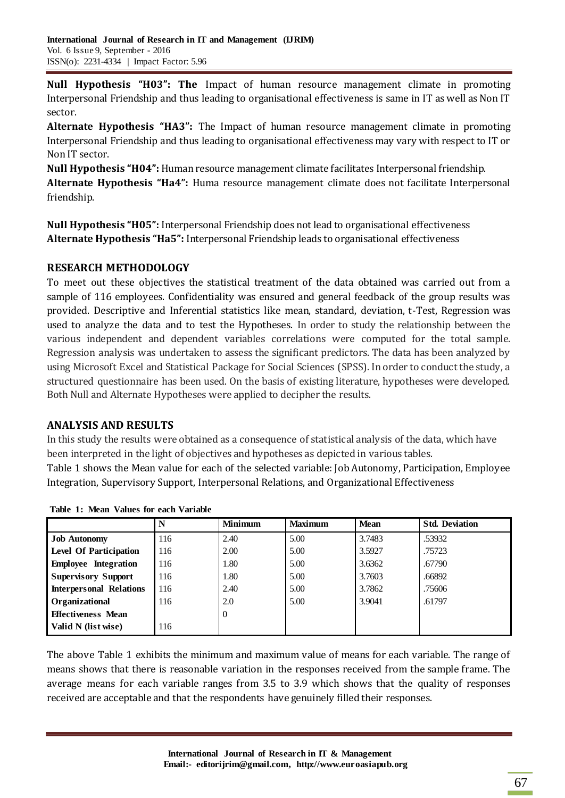**Null Hypothesis "H03": The** Impact of human resource management climate in promoting Interpersonal Friendship and thus leading to organisational effectiveness is same in IT as well as Non IT sector.

**Alternate Hypothesis "HA3":** The Impact of human resource management climate in promoting Interpersonal Friendship and thus leading to organisational effectiveness may vary with respect to IT or Non IT sector.

**Null Hypothesis "H04":** Human resource management climate facilitates Interpersonal friendship. **Alternate Hypothesis "Ha4":** Huma resource management climate does not facilitate Interpersonal friendship.

**Null Hypothesis "H05":** Interpersonal Friendship does not lead to organisational effectiveness **Alternate Hypothesis "Ha5":** Interpersonal Friendship leads to organisational effectiveness

## **RESEARCH METHODOLOGY**

To meet out these objectives the statistical treatment of the data obtained was carried out from a sample of 116 employees. Confidentiality was ensured and general feedback of the group results was provided. Descriptive and Inferential statistics like mean, standard, deviation, t-Test, Regression was used to analyze the data and to test the Hypotheses. In order to study the relationship between the various independent and dependent variables correlations were computed for the total sample. Regression analysis was undertaken to assess the significant predictors. The data has been analyzed by using Microsoft Excel and Statistical Package for Social Sciences (SPSS). In order to conduct the study, a structured questionnaire has been used. On the basis of existing literature, hypotheses were developed. Both Null and Alternate Hypotheses were applied to decipher the results.

## **ANALYSIS AND RESULTS**

In this study the results were obtained as a consequence of statistical analysis of the data, which have been interpreted in the light of objectives and hypotheses as depicted in various tables. Table 1 shows the Mean value for each of the selected variable: Job Autonomy, Participation, Employee Integration, Supervisory Support, Interpersonal Relations, and Organizational Effectiveness

|                                | N   | <b>Minimum</b> | <b>Maximum</b> | <b>Mean</b> | <b>Std. Deviation</b> |
|--------------------------------|-----|----------------|----------------|-------------|-----------------------|
| <b>Job Autonomy</b>            | 116 | 2.40           | 5.00           | 3.7483      | .53932                |
| <b>Level Of Participation</b>  | 116 | 2.00           | 5.00           | 3.5927      | .75723                |
| <b>Employee Integration</b>    | 116 | 1.80           | 5.00           | 3.6362      | .67790                |
| <b>Supervisory Support</b>     | 116 | 1.80           | 5.00           | 3.7603      | .66892                |
| <b>Interpersonal Relations</b> | 116 | 2.40           | 5.00           | 3.7862      | .75606                |
| Organizational                 | 116 | 2.0            | 5.00           | 3.9041      | .61797                |
| <b>Effectiveness Mean</b>      |     | $\theta$       |                |             |                       |
| Valid N (list wise)            | 116 |                |                |             |                       |

**Table 1: Mean Values for each Variable**

The above Table 1 exhibits the minimum and maximum value of means for each variable. The range of means shows that there is reasonable variation in the responses received from the sample frame. The average means for each variable ranges from 3.5 to 3.9 which shows that the quality of responses received are acceptable and that the respondents have genuinely filled their responses.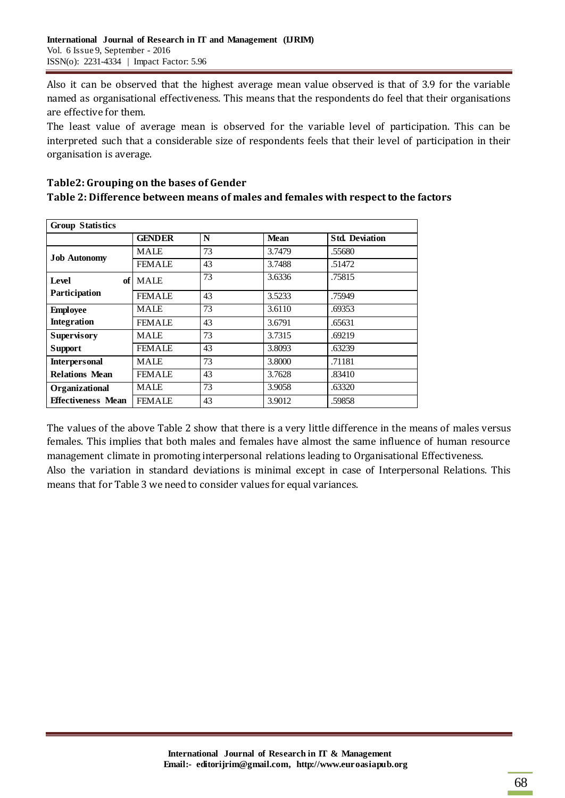Also it can be observed that the highest average mean value observed is that of 3.9 for the variable named as organisational effectiveness. This means that the respondents do feel that their organisations are effective for them.

The least value of average mean is observed for the variable level of participation. This can be interpreted such that a considerable size of respondents feels that their level of participation in their organisation is average.

| Table2: Grouping on the bases of Gender                                            |
|------------------------------------------------------------------------------------|
| Table 2: Difference between means of males and females with respect to the factors |

| <b>Group Statistics</b>   |               |    |             |                       |  |  |  |  |
|---------------------------|---------------|----|-------------|-----------------------|--|--|--|--|
|                           | <b>GENDER</b> | N  | <b>Mean</b> | <b>Std. Deviation</b> |  |  |  |  |
| <b>Job Autonomy</b>       | MALE          | 73 | 3.7479      | .55680                |  |  |  |  |
|                           | <b>FEMALE</b> | 43 | 3.7488      | .51472                |  |  |  |  |
| Level<br>of               | <b>MALE</b>   | 73 | 3.6336      | .75815                |  |  |  |  |
| Participation             | <b>FEMALE</b> | 43 | 3.5233      | .75949                |  |  |  |  |
| <b>Employee</b>           | MALE          | 73 | 3.6110      | .69353                |  |  |  |  |
| <b>Integration</b>        | <b>FEMALE</b> | 43 | 3.6791      | .65631                |  |  |  |  |
| <b>Supervisory</b>        | MALE          | 73 | 3.7315      | .69219                |  |  |  |  |
| <b>Support</b>            | <b>FEMALE</b> | 43 | 3.8093      | .63239                |  |  |  |  |
| <b>Interpersonal</b>      | <b>MALE</b>   | 73 | 3.8000      | .71181                |  |  |  |  |
| <b>Relations Mean</b>     | <b>FEMALE</b> | 43 | 3.7628      | .83410                |  |  |  |  |
| Organizational            | MALE          | 73 | 3.9058      | .63320                |  |  |  |  |
| <b>Effectiveness Mean</b> | <b>FEMALE</b> | 43 | 3.9012      | .59858                |  |  |  |  |

The values of the above Table 2 show that there is a very little difference in the means of males versus females. This implies that both males and females have almost the same influence of human resource management climate in promoting interpersonal relations leading to Organisational Effectiveness. Also the variation in standard deviations is minimal except in case of Interpersonal Relations. This means that for Table 3 we need to consider values for equal variances.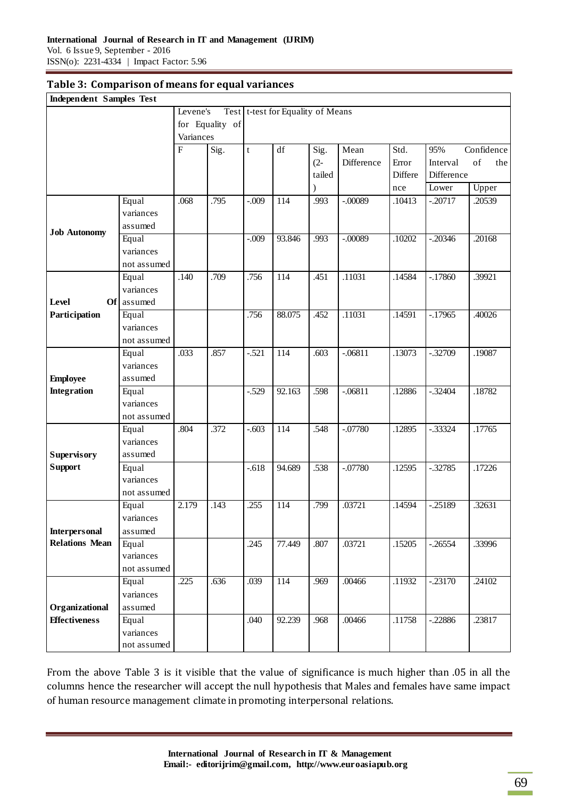#### **Table 3: Comparison of means for equal variances**

| <b>Independent Samples Test</b>               |                      |           |      |             |                                   |        |            |         |            |            |
|-----------------------------------------------|----------------------|-----------|------|-------------|-----------------------------------|--------|------------|---------|------------|------------|
|                                               |                      | Levene's  |      |             | Test t-test for Equality of Means |        |            |         |            |            |
| for Equality of                               |                      |           |      |             |                                   |        |            |         |            |            |
|                                               |                      | Variances |      |             |                                   |        |            |         |            |            |
|                                               |                      | ${\bf F}$ | Sig. | $\mathbf t$ | df                                | Sig.   | Mean       | Std.    | 95%        | Confidence |
|                                               |                      |           |      |             |                                   | $(2 -$ | Difference | Error   | Interval   | of<br>the  |
|                                               |                      |           |      |             |                                   | tailed |            | Differe | Difference |            |
|                                               |                      |           |      |             |                                   | ⟩      |            | nce     | Lower      | Upper      |
|                                               | Equal                | .068      | .795 | $-.009$     | 114                               | .993   | $-.00089$  | .10413  | $-.20717$  | .20539     |
|                                               | variances            |           |      |             |                                   |        |            |         |            |            |
| <b>Job Autonomy</b>                           | assumed              |           |      |             |                                   |        |            |         |            |            |
|                                               | Equal                |           |      | $-0.009$    | 93.846                            | .993   | $-.00089$  | .10202  | $-.20346$  | .20168     |
|                                               | variances            |           |      |             |                                   |        |            |         |            |            |
|                                               | not assumed          |           |      |             |                                   |        |            |         |            |            |
|                                               | Equal                | .140      | .709 | .756        | 114                               | .451   | .11031     | .14584  | $-17860$   | .39921     |
|                                               | variances            |           |      |             |                                   |        |            |         |            |            |
| Level<br><b>Of</b>                            | assumed              |           |      |             |                                   |        |            |         |            |            |
| Participation                                 | Equal                |           |      | .756        | 88.075                            | .452   | .11031     | .14591  | $-17965$   | .40026     |
|                                               | variances            |           |      |             |                                   |        |            |         |            |            |
|                                               | not assumed          |           |      |             |                                   |        |            |         |            |            |
|                                               | Equal                | .033      | .857 | $-.521$     | 114                               | .603   | $-.06811$  | .13073  | $-.32709$  | .19087     |
|                                               | variances            |           |      |             |                                   |        |            |         |            |            |
| <b>Employee</b>                               | assumed              |           |      |             |                                   |        |            |         |            |            |
| <b>Integration</b>                            | Equal                |           |      | $-.529$     | 92.163                            | .598   | $-06811$   | .12886  | $-.32404$  | .18782     |
|                                               | variances            |           |      |             |                                   |        |            |         |            |            |
|                                               | not assumed          |           |      |             |                                   |        |            |         |            |            |
|                                               | Equal                | .804      | .372 | $-.603$     | 114                               | .548   | $-.07780$  | .12895  | $-.33324$  | .17765     |
|                                               | variances            |           |      |             |                                   |        |            |         |            |            |
| <b>Supervisory</b>                            | assumed              |           |      |             |                                   |        |            |         |            |            |
| <b>Support</b>                                | Equal                |           |      | $-.618$     | 94.689                            | .538   | $-.07780$  | .12595  | $-.32785$  | .17226     |
|                                               | variances            |           |      |             |                                   |        |            |         |            |            |
|                                               | not assumed          |           |      |             |                                   |        |            |         |            |            |
|                                               | Equal                | 2.179     | .143 | .255        | 114                               | .799   | .03721     | .14594  | $-25189$   | .32631     |
|                                               | variances            |           |      |             |                                   |        |            |         |            |            |
| <b>Interpersonal</b><br><b>Relations Mean</b> | assumed              |           |      |             |                                   |        |            |         |            |            |
|                                               | Equal                |           |      | .245        | 77.449                            | .807   | .03721     | .15205  | $-.26554$  | .33996     |
|                                               | variances            |           |      |             |                                   |        |            |         |            |            |
|                                               | not assumed<br>Equal | .225      | .636 | .039        | 114                               | .969   | .00466     | .11932  | $-.23170$  | .24102     |
|                                               | variances            |           |      |             |                                   |        |            |         |            |            |
|                                               |                      |           |      |             |                                   |        |            |         |            |            |
| Organizational<br><b>Effectiveness</b>        | assumed<br>Equal     |           |      | .040        | 92.239                            | .968   | .00466     | .11758  | $-.22886$  | .23817     |
|                                               | variances            |           |      |             |                                   |        |            |         |            |            |
|                                               | not assumed          |           |      |             |                                   |        |            |         |            |            |
|                                               |                      |           |      |             |                                   |        |            |         |            |            |

From the above Table 3 is it visible that the value of significance is much higher than .05 in all the columns hence the researcher will accept the null hypothesis that Males and females have same impact of human resource management climate in promoting interpersonal relations.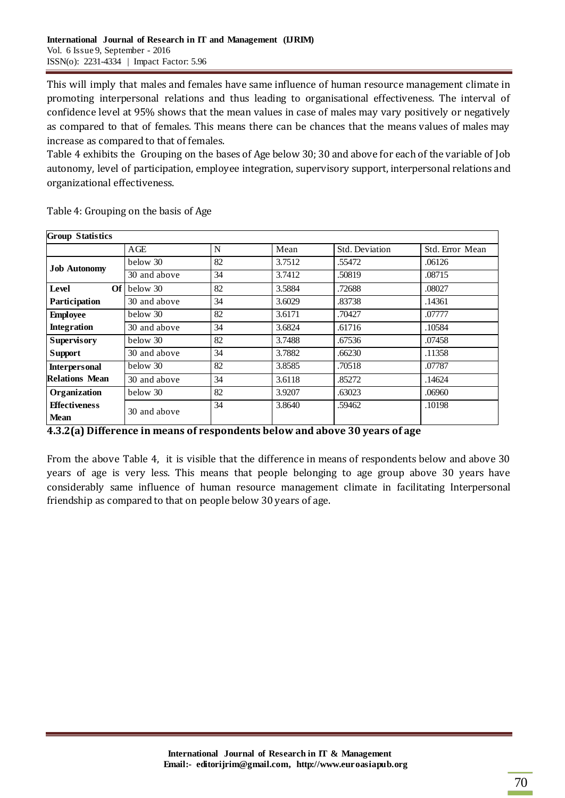This will imply that males and females have same influence of human resource management climate in promoting interpersonal relations and thus leading to organisational effectiveness. The interval of confidence level at 95% shows that the mean values in case of males may vary positively or negatively as compared to that of females. This means there can be chances that the means values of males may increase as compared to that of females.

Table 4 exhibits the Grouping on the bases of Age below 30; 30 and above for each of the variable of Job autonomy, level of participation, employee integration, supervisory support, interpersonal relations and organizational effectiveness.

| <b>Group Statistics</b>             |              |    |        |                |                 |  |  |  |  |
|-------------------------------------|--------------|----|--------|----------------|-----------------|--|--|--|--|
|                                     | AGE          | N  | Mean   | Std. Deviation | Std. Error Mean |  |  |  |  |
|                                     | below 30     | 82 | 3.7512 | .55472         | .06126          |  |  |  |  |
| <b>Job Autonomy</b>                 | 30 and above | 34 | 3.7412 | .50819         | .08715          |  |  |  |  |
| Level<br>OfI                        | below 30     | 82 | 3.5884 | .72688         | .08027          |  |  |  |  |
| Participation                       | 30 and above | 34 | 3.6029 | .83738         | .14361          |  |  |  |  |
| <b>Employee</b>                     | below 30     | 82 | 3.6171 | .70427         | .07777          |  |  |  |  |
| <b>Integration</b>                  | 30 and above | 34 | 3.6824 | .61716         | .10584          |  |  |  |  |
| <b>Supervisory</b>                  | below 30     | 82 | 3.7488 | .67536         | .07458          |  |  |  |  |
| Support                             | 30 and above | 34 | 3.7882 | .66230         | .11358          |  |  |  |  |
| <b>Interpersonal</b>                | below 30     | 82 | 3.8585 | .70518         | .07787          |  |  |  |  |
| Relations Mean                      | 30 and above | 34 | 3.6118 | .85272         | .14624          |  |  |  |  |
| Organization                        | below 30     | 82 | 3.9207 | .63023         | .06960          |  |  |  |  |
| <b>Effectiveness</b><br><b>Mean</b> | 30 and above | 34 | 3.8640 | .59462         | .10198          |  |  |  |  |

Table 4: Grouping on the basis of Age

| 4.3.2(a) Difference in means of respondents below and above 30 years of age |  |  |
|-----------------------------------------------------------------------------|--|--|
|                                                                             |  |  |

From the above Table 4, it is visible that the difference in means of respondents below and above 30 years of age is very less. This means that people belonging to age group above 30 years have considerably same influence of human resource management climate in facilitating Interpersonal friendship as compared to that on people below 30 years of age.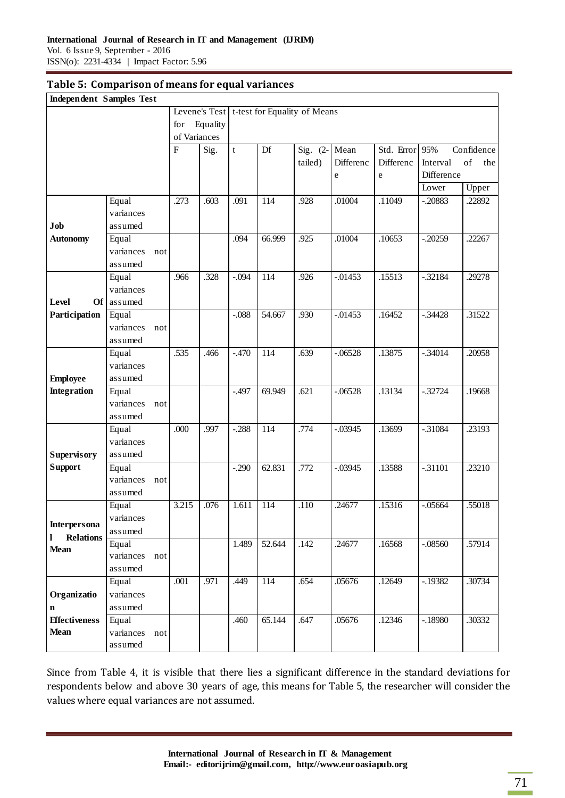| <b>Independent Samples Test</b> |                    |     |                |          |             |        |                                              |            |                |            |            |
|---------------------------------|--------------------|-----|----------------|----------|-------------|--------|----------------------------------------------|------------|----------------|------------|------------|
|                                 |                    |     |                |          |             |        | Levene's Test   t-test for Equality of Means |            |                |            |            |
|                                 |                    |     | for            | Equality |             |        |                                              |            |                |            |            |
|                                 |                    |     | of Variances   |          |             |        |                                              |            |                |            |            |
|                                 |                    |     | $\overline{F}$ | Sig.     | $\mathbf t$ | Df     | Sig. $(2-$                                   | Mean       | Std. Error 95% |            | Confidence |
|                                 |                    |     |                |          |             |        | tailed)                                      | Differenc  | Differenc      | Interval   | of<br>the  |
|                                 |                    |     |                |          |             |        |                                              | ${\bf e}$  | ${\rm e}$      | Difference |            |
|                                 |                    |     |                |          |             |        |                                              |            |                | Lower      | Upper      |
|                                 | Equal              |     | .273           | .603     | .091        | 114    | .928                                         | .01004     | .11049         | $-.20883$  | .22892     |
|                                 | variances          |     |                |          |             |        |                                              |            |                |            |            |
| Job                             | assumed            |     |                |          |             |        |                                              |            |                |            |            |
| <b>Autonomy</b>                 | Equal              |     |                |          | .094        | 66.999 | .925                                         | .01004     | .10653         | $-0.20259$ | .22267     |
|                                 | variances          | not |                |          |             |        |                                              |            |                |            |            |
|                                 | assumed            |     |                |          |             |        |                                              |            |                |            |            |
|                                 | Equal              |     | .966           | .328     | $-.094$     | 114    | .926                                         | $-0.01453$ | .15513         | $-.32184$  | .29278     |
|                                 | variances          |     |                |          |             |        |                                              |            |                |            |            |
| Level<br>Of <sub>1</sub>        | assumed            |     |                |          |             |        |                                              |            |                |            |            |
| Participation                   | Equal              |     |                |          | $-0.088$    | 54.667 | .930                                         | $-0.01453$ | .16452         | $-0.34428$ | .31522     |
|                                 | variances          | not |                |          |             |        |                                              |            |                |            |            |
|                                 | assumed            |     |                |          |             |        |                                              |            |                |            |            |
|                                 | Equal              |     | .535           | .466     | $-.470$     | 114    | .639                                         | $-.06528$  | .13875         | $-.34014$  | .20958     |
|                                 | variances          |     |                |          |             |        |                                              |            |                |            |            |
| <b>Employee</b>                 | assumed            |     |                |          |             |        |                                              |            |                |            |            |
| <b>Integration</b>              | Equal              |     |                |          | $-.497$     | 69.949 | .621                                         | $-.06528$  | .13134         | $-.32724$  | .19668     |
|                                 | variances          | not |                |          |             |        |                                              |            |                |            |            |
|                                 | assumed            |     |                |          |             |        |                                              |            |                |            |            |
|                                 | Equal              |     | .000           | .997     | $-.288$     | 114    | .774                                         | $-.03945$  | .13699         | $-.31084$  | .23193     |
|                                 | variances          |     |                |          |             |        |                                              |            |                |            |            |
| <b>Supervisory</b>              | assumed            |     |                |          |             |        |                                              |            |                |            | .23210     |
| <b>Support</b>                  | Equal<br>variances |     |                |          | $-.290$     | 62.831 | .772                                         | $-.03945$  | .13588         | $-.31101$  |            |
|                                 | assumed            | not |                |          |             |        |                                              |            |                |            |            |
|                                 | Equal              |     | 3.215          | .076     | 1.611       | 114    | .110                                         | .24677     | .15316         | $-.05664$  | .55018     |
|                                 | variances          |     |                |          |             |        |                                              |            |                |            |            |
| Interpersona                    | assumed            |     |                |          |             |        |                                              |            |                |            |            |
| <b>Relations</b><br>1           | Equal              |     |                |          | 1.489       | 52.644 | .142                                         | .24677     | .16568         | $-.08560$  | .57914     |
| <b>Mean</b>                     | variances          | not |                |          |             |        |                                              |            |                |            |            |
|                                 | assumed            |     |                |          |             |        |                                              |            |                |            |            |
|                                 | Equal              |     | .001           | .971     | .449        | 114    | .654                                         | .05676     | .12649         | $-19382$   | .30734     |
| Organizatio                     | variances          |     |                |          |             |        |                                              |            |                |            |            |
| $\mathbf n$                     | assumed            |     |                |          |             |        |                                              |            |                |            |            |
| <b>Effectiveness</b>            | Equal              |     |                |          | .460        | 65.144 | .647                                         | .05676     | .12346         | $-18980$   | .30332     |
| <b>Mean</b>                     | variances          | not |                |          |             |        |                                              |            |                |            |            |
|                                 | assumed            |     |                |          |             |        |                                              |            |                |            |            |

Since from Table 4, it is visible that there lies a significant difference in the standard deviations for respondents below and above 30 years of age, this means for Table 5, the researcher will consider the values where equal variances are not assumed.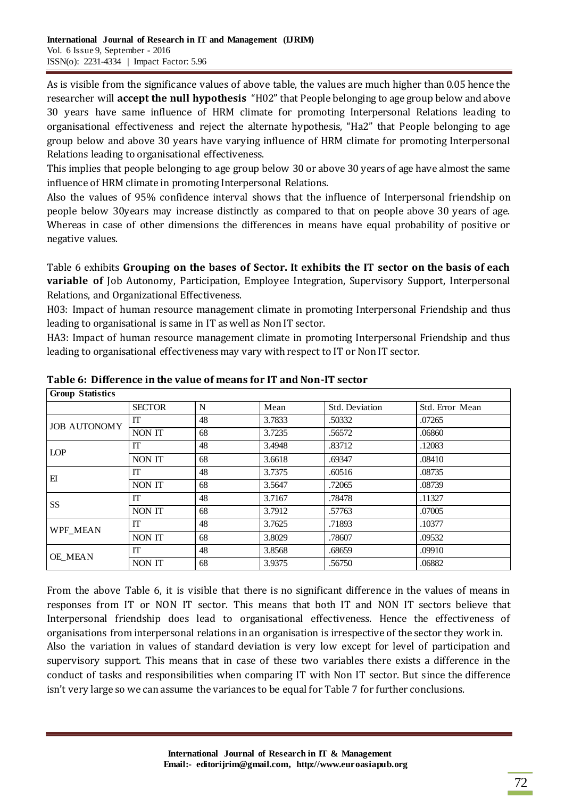As is visible from the significance values of above table, the values are much higher than 0.05 hence the researcher will **accept the null hypothesis** "H02" that People belonging to age group below and above 30 years have same influence of HRM climate for promoting Interpersonal Relations leading to organisational effectiveness and reject the alternate hypothesis, "Ha2" that People belonging to age group below and above 30 years have varying influence of HRM climate for promoting Interpersonal Relations leading to organisational effectiveness.

This implies that people belonging to age group below 30 or above 30 years of age have almost the same influence of HRM climate in promoting Interpersonal Relations.

Also the values of 95% confidence interval shows that the influence of Interpersonal friendship on people below 30years may increase distinctly as compared to that on people above 30 years of age. Whereas in case of other dimensions the differences in means have equal probability of positive or negative values.

Table 6 exhibits **Grouping on the bases of Sector. It exhibits the IT sector on the basis of each variable of** Job Autonomy, Participation, Employee Integration, Supervisory Support, Interpersonal Relations, and Organizational Effectiveness.

H03: Impact of human resource management climate in promoting Interpersonal Friendship and thus leading to organisational is same in IT as well as Non IT sector.

HA3: Impact of human resource management climate in promoting Interpersonal Friendship and thus leading to organisational effectiveness may vary with respect to IT or Non IT sector.

| <b>Group Statistics</b> |               |    |        |                |                 |  |  |  |  |
|-------------------------|---------------|----|--------|----------------|-----------------|--|--|--|--|
|                         | <b>SECTOR</b> | N  | Mean   | Std. Deviation | Std. Error Mean |  |  |  |  |
| <b>JOB AUTONOMY</b>     | <b>IT</b>     | 48 | 3.7833 | .50332         | .07265          |  |  |  |  |
|                         | NON IT        | 68 | 3.7235 | .56572         | .06860          |  |  |  |  |
| <b>LOP</b>              | <b>IT</b>     | 48 | 3.4948 | .83712         | .12083          |  |  |  |  |
|                         | NON IT        | 68 | 3.6618 | .69347         | .08410          |  |  |  |  |
| EI                      | <b>IT</b>     | 48 | 3.7375 | .60516         | .08735          |  |  |  |  |
|                         | NON IT        | 68 | 3.5647 | .72065         | .08739          |  |  |  |  |
| SS                      | <b>IT</b>     | 48 | 3.7167 | .78478         | .11327          |  |  |  |  |
|                         | NON IT        | 68 | 3.7912 | .57763         | .07005          |  |  |  |  |
| WPF MEAN                | <b>IT</b>     | 48 | 3.7625 | .71893         | .10377          |  |  |  |  |
|                         | NON IT        | 68 | 3.8029 | .78607         | .09532          |  |  |  |  |
| OE MEAN                 | <b>IT</b>     | 48 | 3.8568 | .68659         | .09910          |  |  |  |  |
|                         | NON IT        | 68 | 3.9375 | .56750         | .06882          |  |  |  |  |

**Table 6: Difference in the value of means for IT and Non-IT sector**

From the above Table 6, it is visible that there is no significant difference in the values of means in responses from IT or NON IT sector. This means that both IT and NON IT sectors believe that Interpersonal friendship does lead to organisational effectiveness. Hence the effectiveness of organisations from interpersonal relations in an organisation is irrespective of the sector they work in. Also the variation in values of standard deviation is very low except for level of participation and supervisory support. This means that in case of these two variables there exists a difference in the conduct of tasks and responsibilities when comparing IT with Non IT sector. But since the difference isn't very large so we can assume the variances to be equal for Table 7 for further conclusions.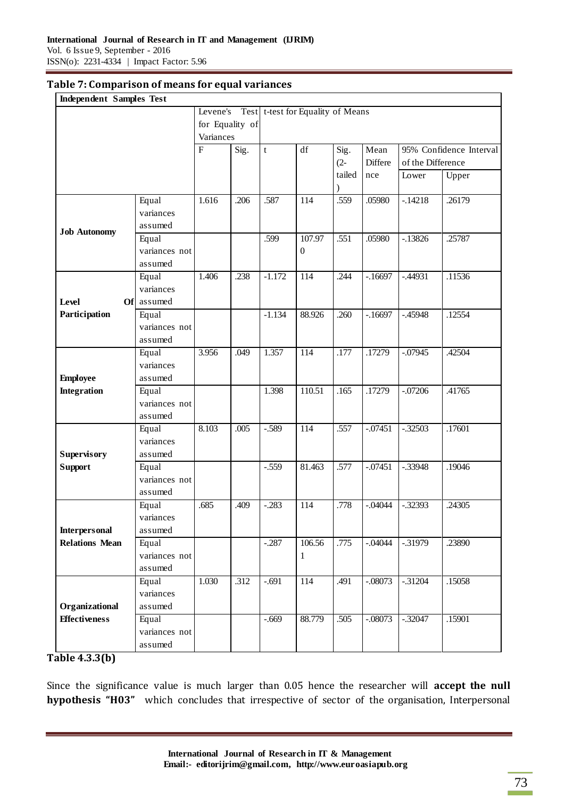#### **Table 7: Comparison of means for equal variances**

| <b>Independent Samples Test</b> |               |                         |      |             |                                   |           |            |                   |                         |
|---------------------------------|---------------|-------------------------|------|-------------|-----------------------------------|-----------|------------|-------------------|-------------------------|
|                                 |               | Levene's                |      |             | Test t-test for Equality of Means |           |            |                   |                         |
|                                 |               | for Equality of         |      |             |                                   |           |            |                   |                         |
|                                 |               | Variances               |      |             |                                   |           |            |                   |                         |
|                                 |               | $\overline{\mathrm{F}}$ | Sig. | $\mathbf t$ | $\mathrm{d}\mathrm{f}$            | Sig.      | Mean       |                   | 95% Confidence Interval |
|                                 |               |                         |      |             |                                   | $(2 -$    | Differe    | of the Difference |                         |
|                                 |               |                         |      |             |                                   | tailed    | nce        | Lower             | Upper                   |
|                                 |               |                         |      |             |                                   | $\lambda$ |            |                   |                         |
|                                 | Equal         | 1.616                   | .206 | .587        | 114                               | .559      | .05980     | $-.14218$         | .26179                  |
|                                 | variances     |                         |      |             |                                   |           |            |                   |                         |
| <b>Job Autonomy</b>             | assumed       |                         |      |             |                                   |           |            |                   |                         |
|                                 | Equal         |                         |      | .599        | 107.97                            | .551      | .05980     | $-13826$          | .25787                  |
|                                 | variances not |                         |      |             | $\overline{0}$                    |           |            |                   |                         |
|                                 | assumed       |                         |      |             |                                   |           |            |                   |                         |
|                                 | Equal         | 1.406                   | .238 | $-1.172$    | 114                               | .244      | $-16697$   | $-44931$          | .11536                  |
|                                 | variances     |                         |      |             |                                   |           |            |                   |                         |
| Level<br>Ofl                    | assumed       |                         |      |             |                                   |           |            |                   |                         |
| Participation                   | Equal         |                         |      | $-1.134$    | 88.926                            | .260      | $-16697$   | $-.45948$         | .12554                  |
|                                 | variances not |                         |      |             |                                   |           |            |                   |                         |
|                                 | assumed       |                         |      |             |                                   |           |            |                   |                         |
|                                 | Equal         | 3.956                   | .049 | 1.357       | 114                               | .177      | .17279     | $-0.07945$        | .42504                  |
|                                 | variances     |                         |      |             |                                   |           |            |                   |                         |
| <b>Employee</b>                 | assumed       |                         |      |             |                                   |           |            |                   |                         |
| <b>Integration</b>              | Equal         |                         |      | 1.398       | 110.51                            | .165      | .17279     | $-.07206$         | .41765                  |
|                                 | variances not |                         |      |             |                                   |           |            |                   |                         |
|                                 | assumed       |                         |      |             |                                   |           |            |                   |                         |
|                                 | Equal         | 8.103                   | .005 | $-589$      | 114                               | .557      | $-07451$   | $-0.32503$        | .17601                  |
|                                 | variances     |                         |      |             |                                   |           |            |                   |                         |
| <b>Supervisory</b>              | assumed       |                         |      |             |                                   |           |            |                   |                         |
| <b>Support</b>                  | Equal         |                         |      | $-.559$     | 81.463                            | .577      | $-.07451$  | $-.33948$         | .19046                  |
|                                 | variances not |                         |      |             |                                   |           |            |                   |                         |
|                                 | assumed       |                         |      |             |                                   |           |            |                   |                         |
|                                 | Equal         | .685                    | .409 | $-.283$     | 114                               | .778      | $-.04044$  | $-.32393$         | .24305                  |
|                                 | variances     |                         |      |             |                                   |           |            |                   |                         |
| <b>Interpersonal</b>            | assumed       |                         |      |             |                                   |           |            |                   |                         |
| <b>Relations Mean</b>           | Equal         |                         |      | $-.287$     | 106.56                            | .775      | $-.04044$  | $-0.31979$        | .23890                  |
|                                 | variances not |                         |      |             | 1                                 |           |            |                   |                         |
|                                 | assumed       |                         |      |             |                                   |           |            |                   |                         |
|                                 | Equal         | 1.030                   | .312 | $-.691$     | 114                               | .491      | $-.08073$  | $-0.31204$        | .15058                  |
|                                 | variances     |                         |      |             |                                   |           |            |                   |                         |
| Organizational                  | assumed       |                         |      |             |                                   |           |            |                   |                         |
| <b>Effectiveness</b>            | Equal         |                         |      | $-669$      | 88.779                            | .505      | $-0.08073$ | $-.32047$         | .15901                  |
|                                 | variances not |                         |      |             |                                   |           |            |                   |                         |
|                                 | assumed       |                         |      |             |                                   |           |            |                   |                         |

## **Table 4.3.3(b)**

Since the significance value is much larger than 0.05 hence the researcher will **accept the null hypothesis "H03"** which concludes that irrespective of sector of the organisation, Interpersonal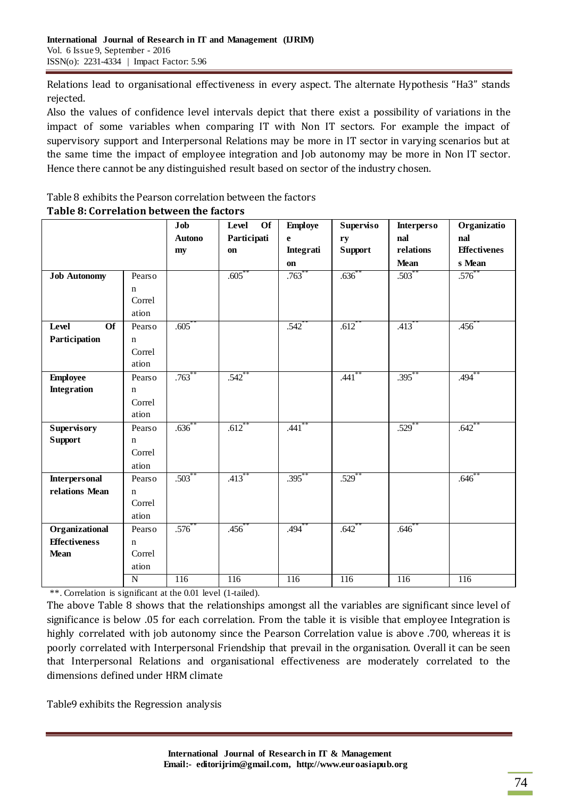Relations lead to organisational effectiveness in every aspect. The alternate Hypothesis "Ha3" stands rejected.

Also the values of confidence level intervals depict that there exist a possibility of variations in the impact of some variables when comparing IT with Non IT sectors. For example the impact of supervisory support and Interpersonal Relations may be more in IT sector in varying scenarios but at the same time the impact of employee integration and Job autonomy may be more in Non IT sector. Hence there cannot be any distinguished result based on sector of the industry chosen.

## Table 8 exhibits the Pearson correlation between the factors **Table 8: Correlation between the factors**

|                          |                | Job              | Level<br><b>Of</b> | <b>Employe</b>      | Superviso            | <b>Interperso</b>   | Organizatio         |
|--------------------------|----------------|------------------|--------------------|---------------------|----------------------|---------------------|---------------------|
|                          |                | <b>Autono</b>    | Participati        | $\mathbf{e}$        | ry                   | nal                 | nal                 |
|                          |                | my               | on                 | Integrati           | <b>Support</b>       | relations           | <b>Effectivenes</b> |
|                          |                |                  |                    | on                  |                      | Mean                | s Mean              |
| <b>Job Autonomy</b>      | Pearso         |                  | $.605^*$           | $.763$ <sup>*</sup> | .636                 | $.503*$             | $.576^*$            |
|                          | $\mathbf n$    |                  |                    |                     |                      |                     |                     |
|                          | Correl         |                  |                    |                     |                      |                     |                     |
|                          | ation          |                  |                    |                     |                      |                     |                     |
| Level<br>$\overline{of}$ | Pearso         | .605             |                    | $.542$ <sup>*</sup> | $.612$ <sup>**</sup> | $.413$ <sup>*</sup> | .456                |
| Participation            | $\mathbf n$    |                  |                    |                     |                      |                     |                     |
|                          | Correl         |                  |                    |                     |                      |                     |                     |
|                          | ation          |                  |                    |                     |                      |                     |                     |
| <b>Employee</b>          | Pearso         | $.763***$        | $.542$ **          |                     | $.441$ **            | $.395***$           | .494                |
| <b>Integration</b>       | n              |                  |                    |                     |                      |                     |                     |
|                          | Correl         |                  |                    |                     |                      |                     |                     |
|                          | ation          |                  |                    |                     |                      |                     |                     |
| <b>Supervisory</b>       | Pearso         | $.636^{**}$      | $.612$ **          | $.441**$            |                      | $.529$ **           | $.642$ **           |
| <b>Support</b>           | $\mathbf n$    |                  |                    |                     |                      |                     |                     |
|                          | Correl         |                  |                    |                     |                      |                     |                     |
|                          | ation          |                  |                    |                     |                      |                     |                     |
| <b>Interpersonal</b>     | Pearso         | $.503***$        | $.413***$          | $.395***$           | $.529$ **            |                     | $.646*$             |
| relations Mean           | $\mathbf n$    |                  |                    |                     |                      |                     |                     |
|                          | Correl         |                  |                    |                     |                      |                     |                     |
|                          | ation          |                  |                    |                     |                      |                     |                     |
| Organizational           | Pearso         | $.576***$        | $.456^{*}$         | $.494^{**}$         | $.642$ **            | $.646*$             |                     |
| <b>Effectiveness</b>     | $\mathbf n$    |                  |                    |                     |                      |                     |                     |
| <b>Mean</b>              | Correl         |                  |                    |                     |                      |                     |                     |
|                          | ation          |                  |                    |                     |                      |                     |                     |
|                          | $\overline{N}$ | $\overline{116}$ | 116                | 116                 | 116                  | $\overline{116}$    | 116                 |

\*\*. Correlation is significant at the 0.01 level (1-tailed).

The above Table 8 shows that the relationships amongst all the variables are significant since level of significance is below .05 for each correlation. From the table it is visible that employee Integration is highly correlated with job autonomy since the Pearson Correlation value is above .700, whereas it is poorly correlated with Interpersonal Friendship that prevail in the organisation. Overall it can be seen that Interpersonal Relations and organisational effectiveness are moderately correlated to the dimensions defined under HRM climate

Table9 exhibits the Regression analysis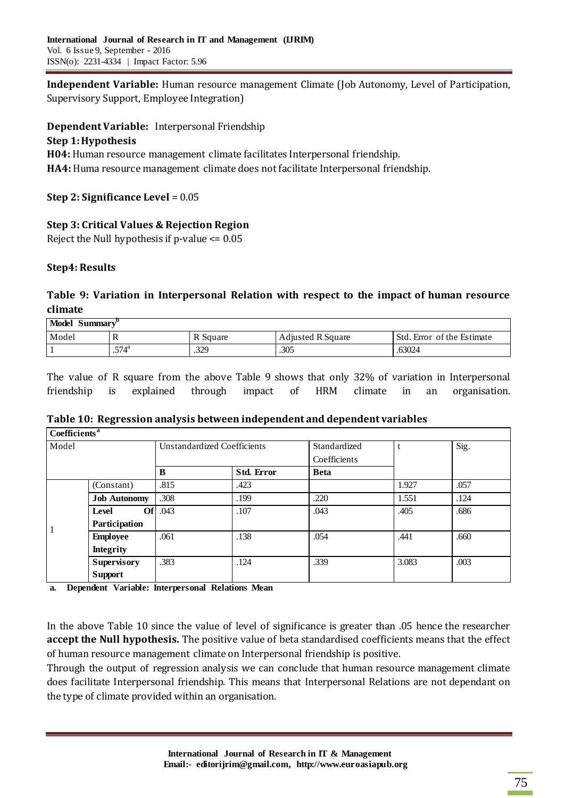**Independent Variable:** Human resource management Climate (Job Autonomy, Level of Participation, Supervisory Support, Employee Integration)

**Dependent Variable:** Interpersonal Friendship

## **Step 1:Hypothesis**

**H04:** Human resource management climate facilitates Interpersonal friendship. **HA4:** Huma resource management climate does not facilitate Interpersonal friendship.

**Step 2: Significance Level** = 0.05

**Step 3: Critical Values & Rejection Region** Reject the Null hypothesis if p-value <= 0.05

# **Step4: Results**

# **Table 9: Variation in Interpersonal Relation with respect to the impact of human resource climate**

| Model Summary <sup>t</sup> |                |          |                          |                            |  |  |  |  |  |  |
|----------------------------|----------------|----------|--------------------------|----------------------------|--|--|--|--|--|--|
| Model                      | 1X             | R Square | <b>Adjusted R Square</b> | Std. Error of the Estimate |  |  |  |  |  |  |
|                            | $.574^{\rm a}$ | .329     | .305                     | .63024                     |  |  |  |  |  |  |

The value of R square from the above Table 9 shows that only 32% of variation in Interpersonal friendship is explained through impact of HRM climate in an organisation.

| Table 10: Regression analysis between independent and dependent variables |  |
|---------------------------------------------------------------------------|--|
|---------------------------------------------------------------------------|--|

| Coefficients <sup>a</sup> |                     |                                    |            |              |       |      |
|---------------------------|---------------------|------------------------------------|------------|--------------|-------|------|
| Model                     |                     | <b>Unstandardized Coefficients</b> |            | Standardized |       | Sig. |
|                           |                     |                                    |            | Coefficients |       |      |
|                           |                     | B                                  | Std. Error | <b>Beta</b>  |       |      |
|                           | (Constant)          | .815                               | .423       |              | 1.927 | .057 |
|                           | <b>Job Autonomy</b> | .308                               | .199       | .220         | 1.551 | .124 |
|                           | Of<br>Level         | .043                               | .107       | .043         | .405  | .686 |
|                           | Participation       |                                    |            |              |       |      |
|                           | <b>Employee</b>     | .061                               | .138       | .054         | .441  | .660 |
|                           | <b>Integrity</b>    |                                    |            |              |       |      |
|                           | <b>Supervisory</b>  | .383                               | .124       | .339         | 3.083 | .003 |
|                           | <b>Support</b>      |                                    |            |              |       |      |

**a. Dependent Variable: Interpersonal Relations Mean**

In the above Table 10 since the value of level of significance is greater than .05 hence the researcher **accept the Null hypothesis.** The positive value of beta standardised coefficients means that the effect of human resource management climate on Interpersonal friendship is positive.

Through the output of regression analysis we can conclude that human resource management climate does facilitate Interpersonal friendship. This means that Interpersonal Relations are not dependant on the type of climate provided within an organisation.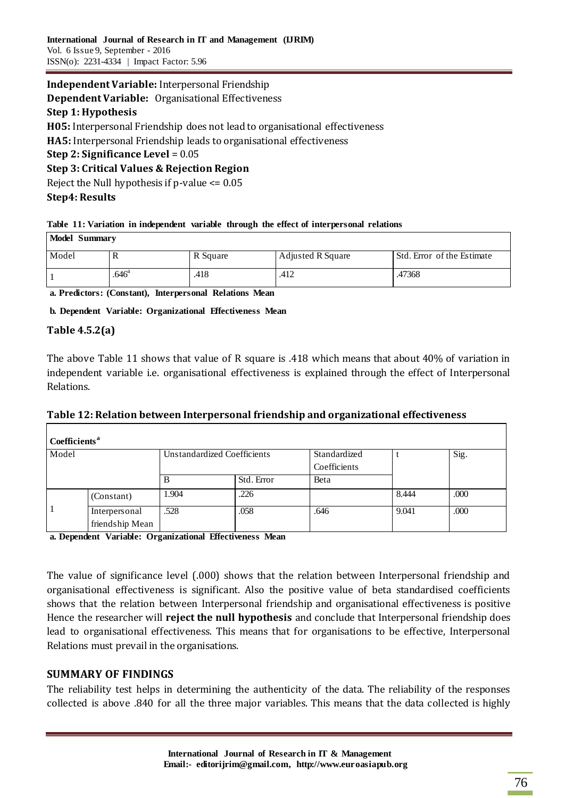# **Independent Variable:** Interpersonal Friendship

**Dependent Variable:** Organisational Effectiveness

## **Step 1: Hypothesis**

**H05:** Interpersonal Friendship does not lead to organisational effectiveness

**HA5:** Interpersonal Friendship leads to organisational effectiveness

#### **Step 2: Significance Level** = 0.05

## **Step 3: Critical Values & Rejection Region**

Reject the Null hypothesis if p-value <= 0.05

## **Step4: Results**

#### **Table 11: Variation in independent variable through the effect of interpersonal relations**

| Model Summary |                   |          |                   |                            |  |  |
|---------------|-------------------|----------|-------------------|----------------------------|--|--|
| Model         |                   | R Square | Adjusted R Square | Std. Error of the Estimate |  |  |
|               | .646 <sup>a</sup> | .418     | .412              | .47368                     |  |  |

**a. Predictors: (Constant), Interpersonal Relations Mean**

## **b. Dependent Variable: Organizational Effectiveness Mean**

## **Table 4.5.2(a)**

The above Table 11 shows that value of R square is .418 which means that about 40% of variation in independent variable i.e. organisational effectiveness is explained through the effect of Interpersonal Relations.

| Table 12: Relation between Interpersonal friendship and organizational effectiveness |  |  |
|--------------------------------------------------------------------------------------|--|--|
|                                                                                      |  |  |

| Coefficients <sup>a</sup> |                                  |                             |            |              |       |      |
|---------------------------|----------------------------------|-----------------------------|------------|--------------|-------|------|
| Model                     |                                  | Unstandardized Coefficients |            | Standardized |       | Sig. |
|                           |                                  |                             |            | Coefficients |       |      |
|                           |                                  |                             | Std. Error | Beta         |       |      |
|                           | (Constant)                       | 1.904                       | .226       |              | 8.444 | .000 |
|                           | Interpersonal<br>friendship Mean | .528                        | .058       | .646         | 9.041 | .000 |

**a. Dependent Variable: Organizational Effectiveness Mean**

The value of significance level (.000) shows that the relation between Interpersonal friendship and organisational effectiveness is significant. Also the positive value of beta standardised coefficients shows that the relation between Interpersonal friendship and organisational effectiveness is positive Hence the researcher will **reject the null hypothesis** and conclude that Interpersonal friendship does lead to organisational effectiveness. This means that for organisations to be effective, Interpersonal Relations must prevail in the organisations.

## **SUMMARY OF FINDINGS**

The reliability test helps in determining the authenticity of the data. The reliability of the responses collected is above .840 for all the three major variables. This means that the data collected is highly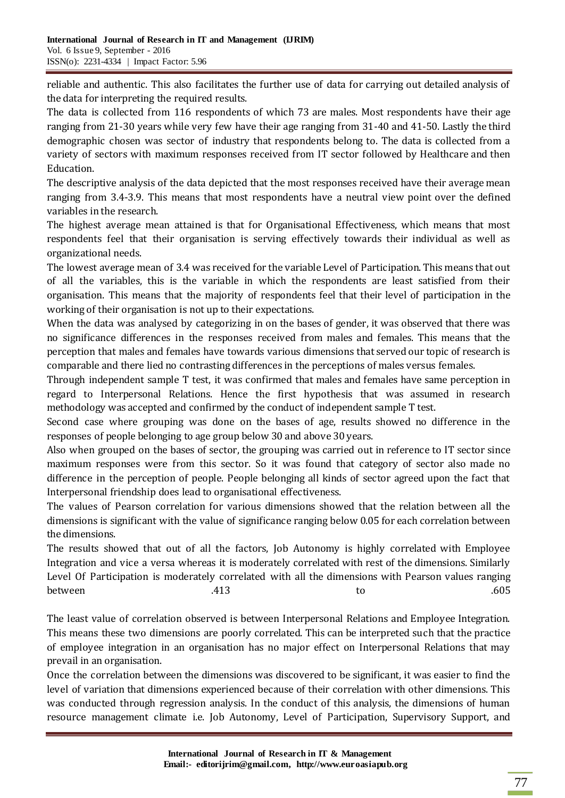reliable and authentic. This also facilitates the further use of data for carrying out detailed analysis of the data for interpreting the required results.

The data is collected from 116 respondents of which 73 are males. Most respondents have their age ranging from 21-30 years while very few have their age ranging from 31-40 and 41-50. Lastly the third demographic chosen was sector of industry that respondents belong to. The data is collected from a variety of sectors with maximum responses received from IT sector followed by Healthcare and then Education.

The descriptive analysis of the data depicted that the most responses received have their average mean ranging from 3.4-3.9. This means that most respondents have a neutral view point over the defined variables in the research.

The highest average mean attained is that for Organisational Effectiveness, which means that most respondents feel that their organisation is serving effectively towards their individual as well as organizational needs.

The lowest average mean of 3.4 was received for the variable Level of Participation. This means that out of all the variables, this is the variable in which the respondents are least satisfied from their organisation. This means that the majority of respondents feel that their level of participation in the working of their organisation is not up to their expectations.

When the data was analysed by categorizing in on the bases of gender, it was observed that there was no significance differences in the responses received from males and females. This means that the perception that males and females have towards various dimensions that served our topic of research is comparable and there lied no contrasting differences in the perceptions of males versus females.

Through independent sample T test, it was confirmed that males and females have same perception in regard to Interpersonal Relations. Hence the first hypothesis that was assumed in research methodology was accepted and confirmed by the conduct of independent sample T test.

Second case where grouping was done on the bases of age, results showed no difference in the responses of people belonging to age group below 30 and above 30 years.

Also when grouped on the bases of sector, the grouping was carried out in reference to IT sector since maximum responses were from this sector. So it was found that category of sector also made no difference in the perception of people. People belonging all kinds of sector agreed upon the fact that Interpersonal friendship does lead to organisational effectiveness.

The values of Pearson correlation for various dimensions showed that the relation between all the dimensions is significant with the value of significance ranging below 0.05 for each correlation between the dimensions.

The results showed that out of all the factors, Job Autonomy is highly correlated with Employee Integration and vice a versa whereas it is moderately correlated with rest of the dimensions. Similarly Level Of Participation is moderately correlated with all the dimensions with Pearson values ranging between  $.413$   $.605$ 

The least value of correlation observed is between Interpersonal Relations and Employee Integration. This means these two dimensions are poorly correlated. This can be interpreted such that the practice of employee integration in an organisation has no major effect on Interpersonal Relations that may prevail in an organisation.

Once the correlation between the dimensions was discovered to be significant, it was easier to find the level of variation that dimensions experienced because of their correlation with other dimensions. This was conducted through regression analysis. In the conduct of this analysis, the dimensions of human resource management climate i.e. Job Autonomy, Level of Participation, Supervisory Support, and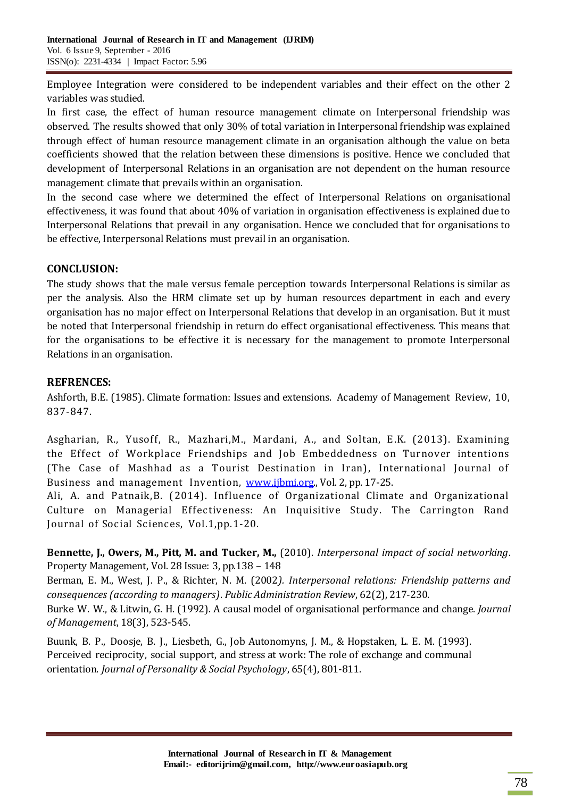Employee Integration were considered to be independent variables and their effect on the other 2 variables was studied.

In first case, the effect of human resource management climate on Interpersonal friendship was observed. The results showed that only 30% of total variation in Interpersonal friendship was explained through effect of human resource management climate in an organisation although the value on beta coefficients showed that the relation between these dimensions is positive. Hence we concluded that development of Interpersonal Relations in an organisation are not dependent on the human resource management climate that prevails within an organisation.

In the second case where we determined the effect of Interpersonal Relations on organisational effectiveness, it was found that about 40% of variation in organisation effectiveness is explained due to Interpersonal Relations that prevail in any organisation. Hence we concluded that for organisations to be effective, Interpersonal Relations must prevail in an organisation.

## **CONCLUSION:**

The study shows that the male versus female perception towards Interpersonal Relations is similar as per the analysis. Also the HRM climate set up by human resources department in each and every organisation has no major effect on Interpersonal Relations that develop in an organisation. But it must be noted that Interpersonal friendship in return do effect organisational effectiveness. This means that for the organisations to be effective it is necessary for the management to promote Interpersonal Relations in an organisation.

## **REFRENCES:**

Ashforth, B.E. (1985). Climate formation: Issues and extensions. Academy of Management Review, 10, 837-847.

Asgharian, R., Yusoff, R., Mazhari,M., Mardani, A., and Soltan, E.K. (2013). Examining the Effect of Workplace Friendships and Job Embeddedness on Turnover intentions (The Case of Mashhad as a Tourist Destination in Iran), International Journal of Business and management Invention, [www.ijbmi.org.](http://www.ijbmi.org/), Vol. 2, pp. 17-25.

Ali, A. and Patnaik,B. (2014). Influence of Organizational Climate and Organizational Culture on Managerial Effectiveness: An Inquisitive Study. The Carrington Rand Journal of Social Sciences, Vol.1,pp.1-20.

**Bennette, J., Owers, M., Pitt, M. and Tucker, M.,** (2010). *Interpersonal impact of social networking*. Property Management, Vol. 28 Issue: 3, pp.138 – 148

Berman, E. M., West, J. P., & Richter, N. M. (2002*). Interpersonal relations: Friendship patterns and consequences (according to managers)*. *Public Administration Review*, 62(2), 217-230. Burke W. W., & Litwin, G. H. (1992). A causal model of organisational performance and change. *Journal* 

*of Management*, 18(3), 523-545.

Buunk, B. P., Doosje, B. J., Liesbeth, G., Job Autonomyns, J. M., & Hopstaken, L. E. M. (1993). Perceived reciprocity, social support, and stress at work: The role of exchange and communal orientation. *Journal of Personality & Social Psychology*, 65(4), 801-811.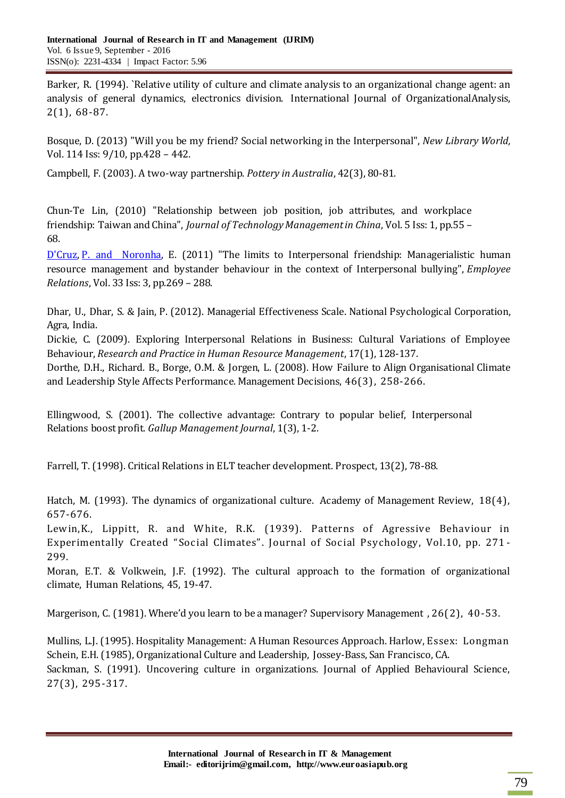Barker, R. (1994). `Relative utility of culture and climate analysis to an organizational change agent: an analysis of general dynamics, electronics division. International Journal of OrganizationalAnalysis, 2(1), 68-87.

Bosque, D. (2013) "Will you be my friend? Social networking in the Interpersonal", *New Library World,* Vol. 114 Iss: 9/10, pp.428 – 442.

Campbell, F. (2003). A two-way partnership. *Pottery in Australia*, 42(3), 80-81.

Chun‐Te Lin, (2010) "Relationship between job position, job attributes, and workplace friendship: Taiwan and China", *Journal of Technology Management in China*, Vol. 5 Iss: 1, pp.55 – 68.

[D'Cruz,](http://www.emeraldinsight.com/action/doSearch?ContribStored=D%27Cruz%2C+P) [P. and Noronha,](http://www.emeraldinsight.com/action/doSearch?ContribStored=Noronha%2C+E) E. (2011) "The limits to Interpersonal friendship: Managerialistic human resource management and bystander behaviour in the context of Interpersonal bullying", *Employee Relations*, Vol. 33 Iss: 3, pp.269 – 288.

Dhar, U., Dhar, S. & Jain, P. (2012). Managerial Effectiveness Scale. National Psychological Corporation, Agra, India.

Dickie, C. (2009). Exploring Interpersonal Relations in Business: Cultural Variations of Employee Behaviour, *Research and Practice in Human Resource Management*, 17(1), 128-137.

Dorthe, D.H., Richard. B., Borge, O.M. & Jorgen, L. (2008). How Failure to Align Organisational Climate and Leadership Style Affects Performance. Management Decisions, 46(3), 258-266.

Ellingwood, S. (2001). The collective advantage: Contrary to popular belief, Interpersonal Relations boost profit. *Gallup Management Journal*, 1(3), 1-2.

Farrell, T. (1998). Critical Relations in ELT teacher development. Prospect, 13(2), 78-88.

Hatch, M. (1993). The dynamics of organizational culture. Academy of Management Review, 18(4), 657-676.

Lewin,K., Lippitt, R. and White, R.K. (1939). Patterns of Agressive Behaviour in Experimentally Created "Social Climates". Journal of Social Psychology, Vol.10, pp. 271 - 299.

Moran, E.T. & Volkwein, J.F. (1992). The cultural approach to the formation of organizational climate, Human Relations, 45, 19-47.

Margerison, C. (1981). Where'd you learn to be a manager? Supervisory Management , 26(2), 40-53.

Mullins, L.J. (1995). Hospitality Management: A Human Resources Approach. Harlow, Essex: Longman Schein, E.H. (1985), Organizational Culture and Leadership, Jossey-Bass, San Francisco, CA. Sackman, S. (1991). Uncovering culture in organizations. Journal of Applied Behavioural Science, 27(3), 295-317.